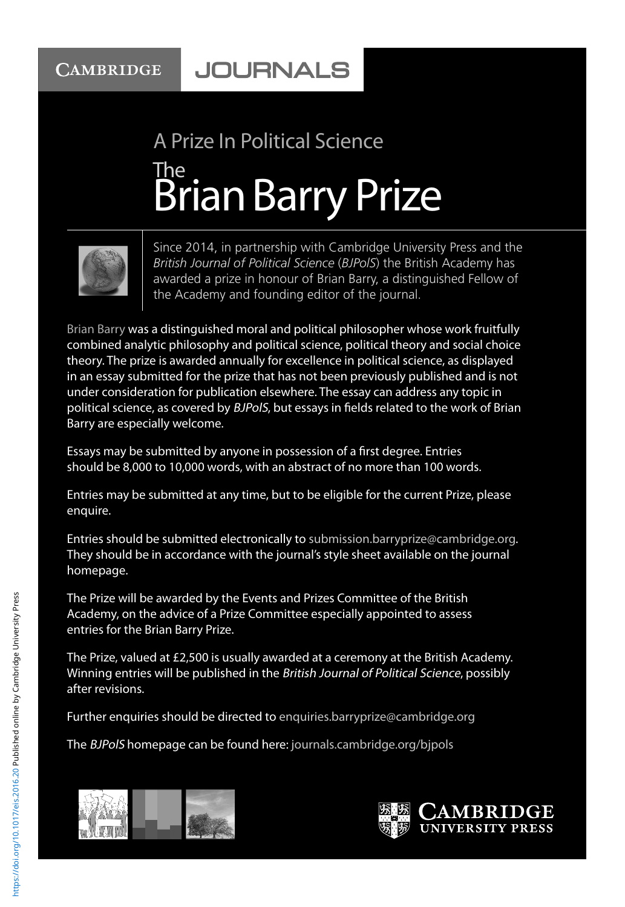**CAMBRIDGE** 

#### **JOURNALS**

### A Prize In Political Science

## The Brian Barry Prize



Since 2014, in partnership with Cambridge University Press and the *British Journal of Political Science* (*BJPolS*) the British Academy has awarded a prize in honour of Brian Barry, a distinguished Fellow of the Academy and founding editor of the journal.

Brian Barry was a distinguished moral and political philosopher whose work fruitfully combined analytic philosophy and political science, political theory and social choice theory. The prize is awarded annually for excellence in political science, as displayed in an essay submitted for the prize that has not been previously published and is not under consideration for publication elsewhere. The essay can address any topic in political science, as covered by BJPolS, but essays in fields related to the work of Brian Barry are especially welcome.

Essays may be submitted by anyone in possession of a first degree. Entries should be 8,000 to 10,000 words, with an abstract of no more than 100 words.

Entries may be submitted at any time, but to be eligible for the current Prize, please enquire.

Entries should be submitted electronically to submission.barryprize@cambridge.org. They should be in accordance with the journal's style sheet available on the journal homepage.

The Prize will be awarded by the Events and Prizes Committee of the British Academy, on the advice of a Prize Committee especially appointed to assess entries for the Brian Barry Prize.

The Prize, valued at £2,500 is usually awarded at a ceremony at the British Academy. Winning entries will be published in the British Journal of Political Science, possibly after revisions.

Further enquiries should be directed to enquiries.barryprize@cambridge.org

The BJPolS homepage can be found here: journals.cambridge.org/bjpols



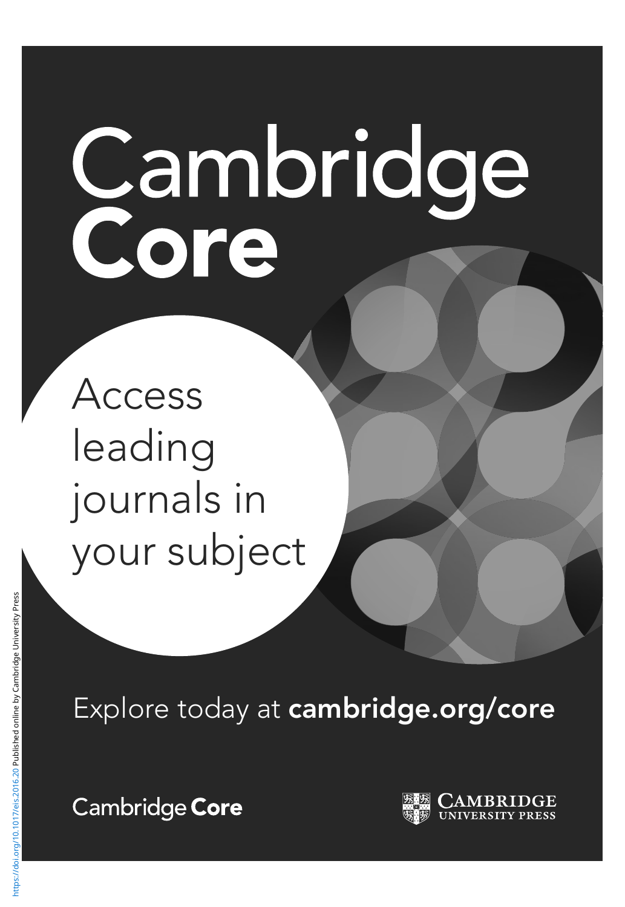# Cambridge<br>Core

Access leading journals in your subject

Explore today at cambridge.org/core



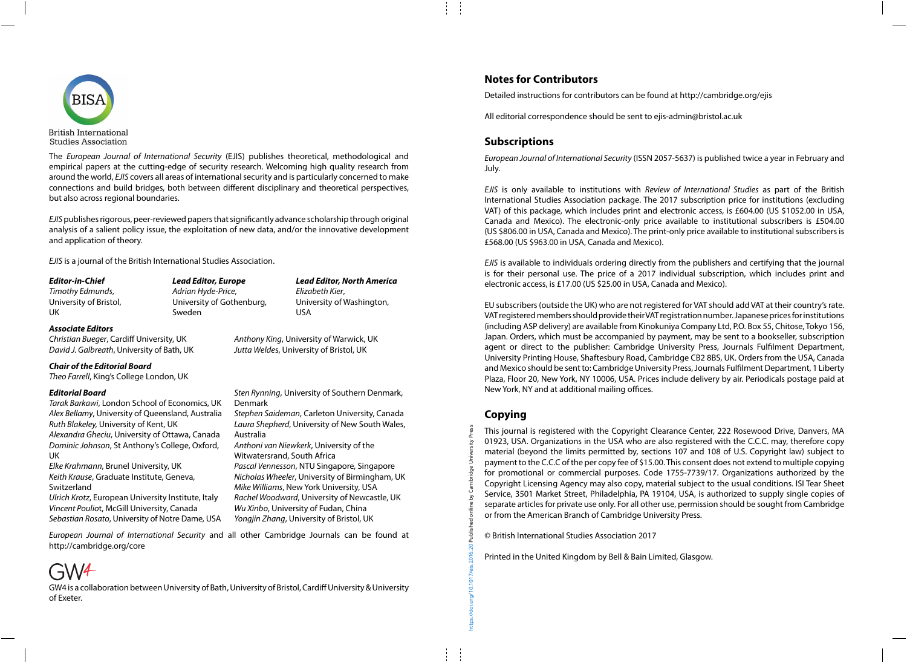#### **Notes for Contributors**

Detailed instructions for contributors can be found at http://cambridge.org/ejis

All editorial correspondence should be sent to ejis-admin@bristol.ac.uk

#### **Subscriptions**

European Journal of International Security (ISSN 2057-5637) is published twice a year in February and July.

EJIS is only available to institutions with Review of International Studies as part of the British International Studies Association package. The 2017 subscription price for institutions (excluding VAT) of this package, which includes print and electronic access, is £604.00 (US \$1052.00 in USA, Canada and Mexico). The electronic-only price available to institutional subscribers is £504.00 (US \$806.00 in USA, Canada and Mexico). The print-only price available to institutional subscribers is £568.00 (US \$963.00 in USA, Canada and Mexico).

EJIS is available to individuals ordering directly from the publishers and certifying that the journal is for their personal use. The price of a 2017 individual subscription, which includes print and electronic access, is £17.00 (US \$25.00 in USA, Canada and Mexico).

EU subscribers (outside the UK) who are not registered for VAT should add VAT at their country's rate. VAT registered members should provide their VAT registration number. Japanese prices for institutions (including ASP delivery) are available from Kinokuniya Company Ltd, P.O. Box 55, Chitose, Tokyo 156, Japan. Orders, which must be accompanied by payment, may be sent to a bookseller, subscription agent or direct to the publisher: Cambridge University Press, Journals Fulfilment Department, University Printing House, Shaftesbury Road, Cambridge CB2 8BS, UK. Orders from the USA, Canada and Mexico should be sent to: Cambridge University Press, Journals Fulfilment Department, 1 Liberty Plaza, Floor 20, New York, NY 10006, USA. Prices include delivery by air. Periodicals postage paid at New York, NY and at additional mailing offices.

#### **Copying**

This journal is registered with the Copyright Clearance Center, 222 Rosewood Drive, Danvers, MA 01923, USA. Organizations in the USA who are also registered with the C.C.C. may, therefore copy material (beyond the limits permitted by, sections 107 and 108 of U.S. Copyright law) subject to payment to the C.C.C of the per copy fee of \$15.00. This consent does not extend to multiple copying for promotional or commercial purposes. Code 1755-7739/17. Organizations authorized by the Copyright Licensing Agency may also copy, material subject to the usual conditions. ISI Tear Sheet Service, 3501 Market Street, Philadelphia, PA 19104, USA, is authorized to supply single copies of separate articles for private use only. For all other use, permission should be sought from Cambridge or from the American Branch of Cambridge University Press.

© British International Studies Association 2017

Printed in the United Kingdom by Bell & Bain Limited, Glasgow.